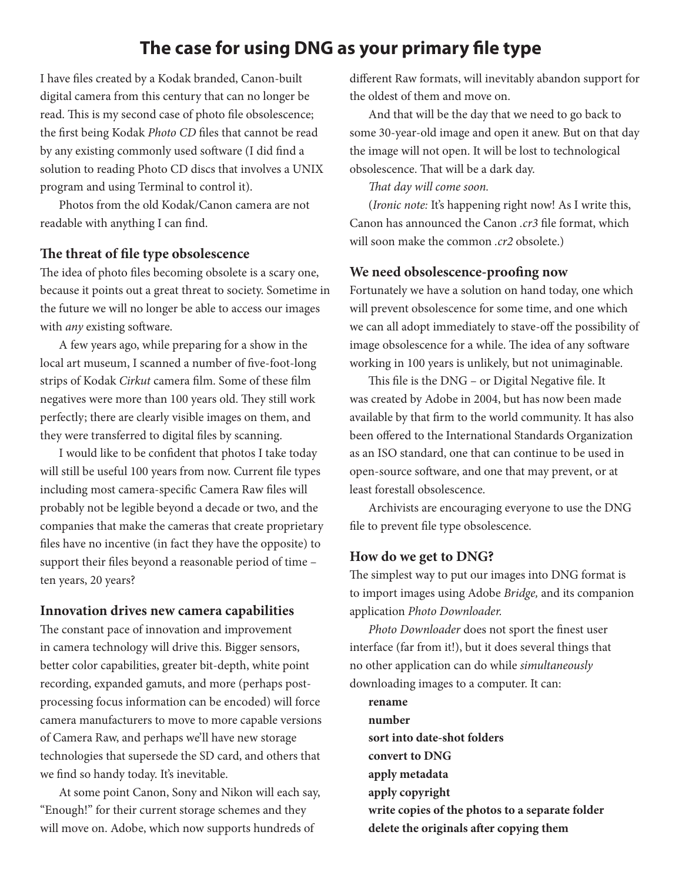# **The case for using DNG as your primary file type**

I have files created by a Kodak branded, Canon-built digital camera from this century that can no longer be read. This is my second case of photo file obsolescence; the first being Kodak *Photo CD* files that cannot be read by any existing commonly used software (I did find a solution to reading Photo CD discs that involves a UNIX program and using Terminal to control it).

Photos from the old Kodak/Canon camera are not readable with anything I can find.

#### **The threat of file type obsolescence**

The idea of photo files becoming obsolete is a scary one, because it points out a great threat to society. Sometime in the future we will no longer be able to access our images with *any* existing software.

A few years ago, while preparing for a show in the local art museum, I scanned a number of five-foot-long strips of Kodak *Cirkut* camera film. Some of these film negatives were more than 100 years old. They still work perfectly; there are clearly visible images on them, and they were transferred to digital files by scanning.

I would like to be confident that photos I take today will still be useful 100 years from now. Current file types including most camera-specific Camera Raw files will probably not be legible beyond a decade or two, and the companies that make the cameras that create proprietary files have no incentive (in fact they have the opposite) to support their files beyond a reasonable period of time – ten years, 20 years?

#### **Innovation drives new camera capabilities**

The constant pace of innovation and improvement in camera technology will drive this. Bigger sensors, better color capabilities, greater bit-depth, white point recording, expanded gamuts, and more (perhaps postprocessing focus information can be encoded) will force camera manufacturers to move to more capable versions of Camera Raw, and perhaps we'll have new storage technologies that supersede the SD card, and others that we find so handy today. It's inevitable.

At some point Canon, Sony and Nikon will each say, "Enough!" for their current storage schemes and they will move on. Adobe, which now supports hundreds of

different Raw formats, will inevitably abandon support for the oldest of them and move on.

And that will be the day that we need to go back to some 30-year-old image and open it anew. But on that day the image will not open. It will be lost to technological obsolescence. That will be a dark day.

*That day will come soon.*

(*Ironic note:* It's happening right now! As I write this, Canon has announced the Canon *.cr3* file format, which will soon make the common *.cr2* obsolete.)

#### **We need obsolescence-proofing now**

Fortunately we have a solution on hand today, one which will prevent obsolescence for some time, and one which we can all adopt immediately to stave-off the possibility of image obsolescence for a while. The idea of any software working in 100 years is unlikely, but not unimaginable.

This file is the DNG – or Digital Negative file. It was created by Adobe in 2004, but has now been made available by that firm to the world community. It has also been offered to the International Standards Organization as an ISO standard, one that can continue to be used in open-source software, and one that may prevent, or at least forestall obsolescence.

Archivists are encouraging everyone to use the DNG file to prevent file type obsolescence.

#### **How do we get to DNG?**

The simplest way to put our images into DNG format is to import images using Adobe *Bridge,* and its companion application *Photo Downloader.*

*Photo Downloader* does not sport the finest user interface (far from it!), but it does several things that no other application can do while *simultaneously* downloading images to a computer. It can:

**rename number sort into date-shot folders convert to DNG apply metadata apply copyright write copies of the photos to a separate folder delete the originals after copying them**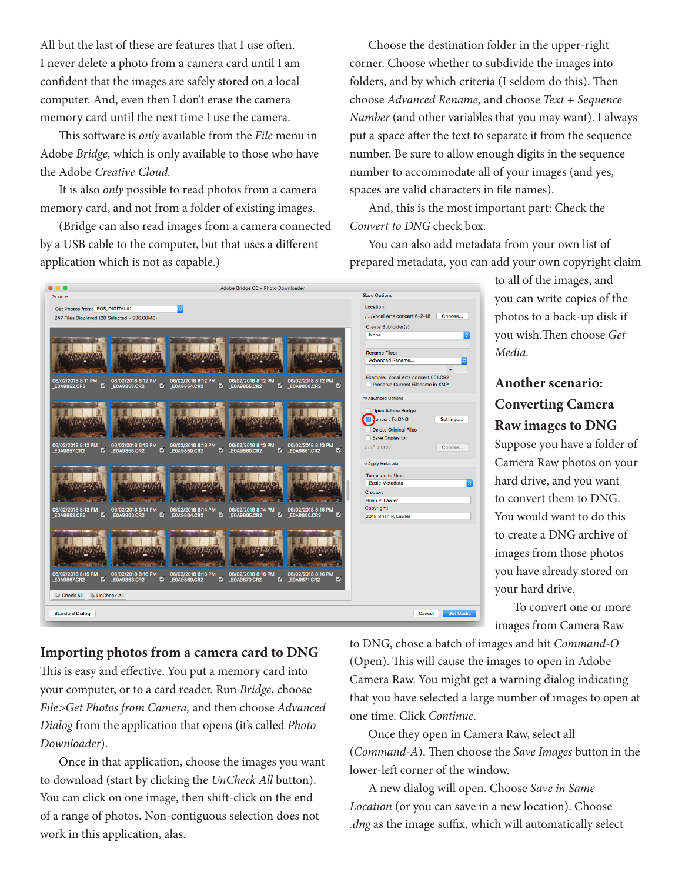All but the last of these are features that I use often. I never delete a photo from a camera card until I am confident that the images are safely stored on a local computer. And, even then I don't erase the camera memory card until the next time I use the camera.

This software is *only* available from the *File* menu in Adobe *Bridge,* which is only available to those who have the Adobe *Creative Cloud.*

It is also *only* possible to read photos from a camera memory card, and not from a folder of existing images.

(Bridge can also read images from a camera connected by a USB cable to the computer, but that uses a different application which is not as capable.)

Choose the destination folder in the upper-right corner. Choose whether to subdivide the images into folders, and by which criteria (I seldom do this). Then choose *Advanced Rename,* and choose *Text + Sequence Number* (and other variables that you may want). I always put a space after the text to separate it from the sequence number. Be sure to allow enough digits in the sequence number to accommodate all of your images (and yes, spaces are valid characters in file names).

And, this is the most important part: Check the *Convert to DNG* check box.

You can also add metadata from your own list of prepared metadata, you can add your own copyright claim



to all of the images, and you can write copies of the photos to a back-up disk if you wish.Then choose *Get Media.*

## **Another scenario: Converting Camera Raw images to DNG**

Suppose you have a folder of Camera Raw photos on your hard drive, and you want to convert them to DNG. You would want to do this to create a DNG archive of images from those photos you have already stored on your hard drive.

To convert one or more images from Camera Raw

### **Importing photos from a camera card to DNG**

This is easy and effective. You put a memory card into your computer, or to a card reader. Run *Bridge*, choose *File>Get Photos from Camera,* and then choose *Advanced Dialog* from the application that opens (it's called *Photo Downloader*).

Once in that application, choose the images you want to download (start by clicking the *UnCheck All* button). You can click on one image, then shift-click on the end of a range of photos. Non-contiguous selection does not work in this application, alas.

to DNG, chose a batch of images and hit *Command-O* (Open). This will cause the images to open in Adobe Camera Raw. You might get a warning dialog indicating that you have selected a large number of images to open at one time. Click *Continue.*

Once they open in Camera Raw, select all (*Command-A*). Then choose the *Save Images* button in the lower-left corner of the window.

A new dialog will open. Choose *Save in Same Location* (or you can save in a new location). Choose *.dng* as the image suffix, which will automatically select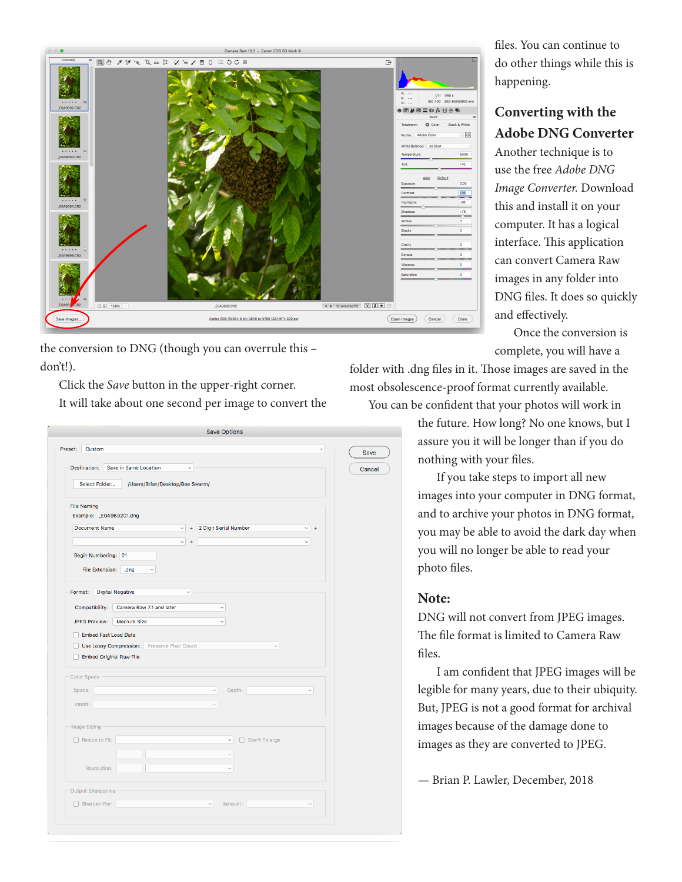

the conversion to DNG (though you can overrule this – don't!).

Click the *Save* button in the upper-right corner. It will take about one second per image to convert the

| Custom<br>Preset:                                           |                                             |              |                       |              | $\checkmark$ |
|-------------------------------------------------------------|---------------------------------------------|--------------|-----------------------|--------------|--------------|
|                                                             |                                             |              |                       |              |              |
| Destination:                                                | Save in Same Location                       | $\check{~}$  |                       |              |              |
| Select Folder                                               | /Users/Brian/Desktop/Bee Swarm/             |              |                       |              |              |
| <b>File Naming</b>                                          |                                             |              |                       |              |              |
| Example: _E0A969201.dng                                     |                                             |              |                       |              |              |
| <b>Document Name</b>                                        |                                             | $\checkmark$ | 2 Digit Serial Number | $\checkmark$ |              |
|                                                             |                                             | $\checkmark$ |                       | $\check{ }$  |              |
| Begin Numbering: 01                                         |                                             |              |                       |              |              |
| File Extension:                                             | .dng<br>$\checkmark$                        |              |                       |              |              |
|                                                             |                                             |              |                       |              |              |
| Format:<br><b>Digital Negative</b>                          |                                             | $\checkmark$ |                       |              |              |
| Compatibility:                                              | Camera Raw 7.1 and later                    |              | $\sim$                |              |              |
|                                                             |                                             |              |                       |              |              |
|                                                             |                                             |              |                       |              |              |
| <b>JPEG Preview:</b>                                        | <b>Medium Size</b>                          |              | $\checkmark$          |              |              |
| Embed Fast Load Data                                        |                                             |              |                       |              |              |
|                                                             | Use Lossy Compression: Preserve Pixel Count |              |                       | $\checkmark$ |              |
| <b>Embed Original Raw File</b>                              |                                             |              |                       |              |              |
|                                                             |                                             |              |                       |              |              |
|                                                             |                                             |              |                       |              |              |
| Space:                                                      |                                             | $\checkmark$ | Depth:                |              | $\checkmark$ |
| Intent:                                                     |                                             | $\sim$       |                       |              |              |
|                                                             |                                             |              |                       |              |              |
|                                                             |                                             |              | $\checkmark$          |              |              |
| <b>Color Space</b><br>Image Sizing<br>$\Box$ Resize to Fit: |                                             |              | Don't Enlarge         |              |              |
|                                                             |                                             |              | $\sim$                |              |              |
| Resolution:                                                 |                                             |              | $\checkmark$          |              |              |
|                                                             |                                             |              |                       |              |              |
| <b>Output Sharpening</b><br>Sharpen For:                    |                                             | $\sim$       | Amount:               |              | $\checkmark$ |

files. You can continue to do other things while this is happening.

### **Converting with the Adobe DNG Converter**

Another technique is to use the free *Adobe DNG Image Converter.* Download this and install it on your computer. It has a logical interface. This application can convert Camera Raw images in any folder into DNG files. It does so quickly and effectively.

Once the conversion is complete, you will have a

folder with .dng files in it. Those images are saved in the most obsolescence-proof format currently available.

You can be confident that your photos will work in

the future. How long? No one knows, but I assure you it will be longer than if you do nothing with your files.

If you take steps to import all new images into your computer in DNG format, and to archive your photos in DNG format, you may be able to avoid the dark day when you will no longer be able to read your photo files.

#### **Note:**

DNG will not convert from JPEG images. The file format is limited to Camera Raw files.

I am confident that JPEG images will be legible for many years, due to their ubiquity. But, JPEG is not a good format for archival images because of the damage done to images as they are converted to JPEG.

— Brian P. Lawler, December, 2018